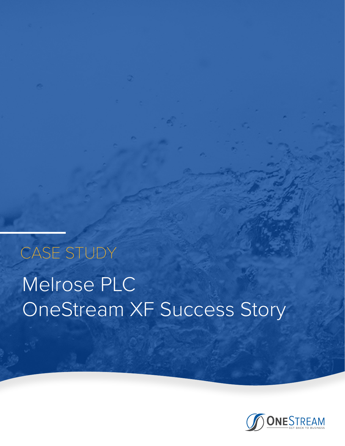# Melrose PLC OneStream XF Success Story CASE STUDY

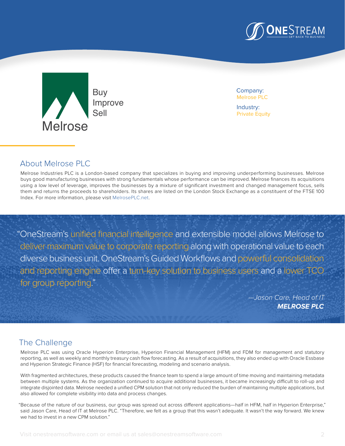



Company: Melrose PLC

Industry: Private Equity

### About Melrose PLC

Melrose Industries PLC is a London-based company that specializes in buying and improving underperforming businesses. Melrose buys good manufacturing businesses with strong fundamentals whose performance can be improved. Melrose finances its acquisitions using a low level of leverage, improves the businesses by a mixture of significant investment and changed management focus, sells them and returns the proceeds to shareholders. Its shares are listed on the London Stock Exchange as a constituent of the FTSE 100 Index. For more information, please visit M[elrosePLC.net.](www.melroseplc.net)

"OneStream's unified financial intelligence and extensible model allows Melrose to deliver maximum value to corporate reporting along with operational value to each diverse business unit. OneStream's Guided Workflows and powerful consolidation and reporting engine offer a turn-key solution to business users and a lower TCO for group reporting."

> *—Jason Care, Head of IT*  **MELROSE PLC**

#### The Challenge

Melrose PLC was using Oracle Hyperion Enterprise, Hyperion Financial Management (HFM) and FDM for management and statutory reporting, as well as weekly and monthly treasury cash flow forecasting. As a result of acquisitions, they also ended up with Oracle Essbase and Hyperion Strategic Finance (HSF) for financial forecasting, modeling and scenario analysis.

With fragmented architectures, these products caused the finance team to spend a large amount of time moving and maintaining metadata between multiple systems. As the organization continued to acquire additional businesses, it became increasingly difficult to roll-up and integrate disjointed data. Melrose needed a unified CPM solution that not only reduced the burden of maintaining multiple applications, but also allowed for complete visibility into data and process changes.

"Because of the nature of our business, our group was spread out across different applications—half in HFM, half in Hyperion Enterprise," said Jason Care, Head of IT at Melrose PLC. "Therefore, we felt as a group that this wasn't adequate. It wasn't the way forward. We knew we had to invest in a new CPM solution."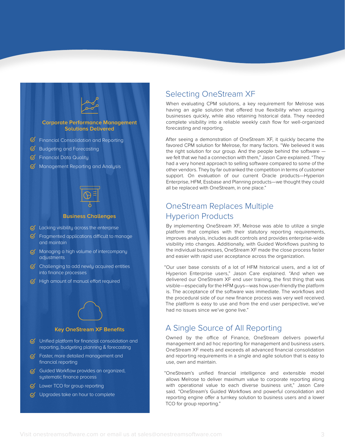

- $\heartsuit$  Lacking visibility across the enterprise
- $\mathcal G$  Fragmented applications difficult to manage and maintain
- $\sigma$  Managing a high volume of intercompany adjustments
- $\bigcirc$  Challenging to add newly acquired entities into finance processes
- $\mathcal G$  High amount of manual effort required

## **Key OneStream XF Benefits**

- $\heartsuit$  Unified platform for financial consolidation and reporting, budgeting planning & forecasting
- $G$  Faster, more detailed management and financial reporting
- $G$  Guided Workflow provides an organized, systematic finance process
- $\mathcal G$  Lower TCO for group reporting
- $\heartsuit$  Upgrades take an hour to complete

#### Selecting OneStream XF

When evaluating CPM solutions, a key requirement for Melrose was having an agile solution that offered true flexibility when acquiring businesses quickly, while also retaining historical data. They needed complete visibility into a reliable weekly cash flow for well-organized forecasting and reporting.

After seeing a demonstration of OneStream XF, it quickly became the favored CPM solution for Melrose, for many factors. "We believed it was the right solution for our group. And the people behind the software we felt that we had a connection with them," Jason Care explained. "They had a very honest approach to selling software compared to some of the other vendors. They by far outranked the competition in terms of customer support. On evaluation of our current Oracle products—Hyperion Enterprise, HFM, Essbase and Planning products—we thought they could all be replaced with OneStream, in one place."

#### OneStream Replaces Multiple Hyperion Products

By implementing OneStream XF, Melrose was able to utilize a single platform that complies with their statutory reporting requirements, improves analysis, includes audit controls and provides enterprise-wide visibility into changes. Additionally, with Guided Workflows pushing to the individual businesses, OneStream XF made the close process faster and easier with rapid user acceptance across the organization.

"Our user base consists of a lot of HFM historical users, and a lot of Hyperion Enterprise users," Jason Care explained. "And when we delivered our OneStream XF end user training, the first thing that was visible—especially for the HFM guys—was how user-friendly the platform is. The acceptance of the software was immediate. The workflows and the procedural side of our new finance process was very well received. The platform is easy to use and from the end user perspective, we've had no issues since we've gone live."

#### A Single Source of All Reporting

Owned by the office of Finance, OneStream delivers powerful management and ad hoc reporting for management and business users. OneStream XF meets and exceeds all advanced financial consolidation and reporting requirements in a single and agile solution that is easy to use, own and maintain.

"OneStream's unified financial intelligence and extensible model allows Melrose to deliver maximum value to corporate reporting along with operational value to each diverse business unit," Jason Care said. "OneStream's Guided Workflows and powerful consolidation and reporting engine offer a turnkey solution to business users and a lower TCO for group reporting."